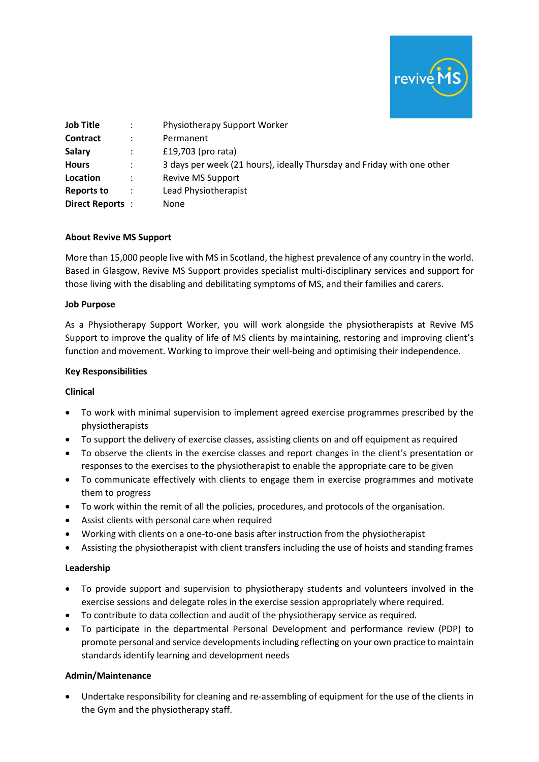

| <b>Job Title</b>  | $\mathbb{R}^n$       | Physiotherapy Support Worker                                           |
|-------------------|----------------------|------------------------------------------------------------------------|
| <b>Contract</b>   | ٠                    | Permanent                                                              |
| <b>Salary</b>     |                      | £19,703 (pro rata)                                                     |
| <b>Hours</b>      | $\mathbb{R}^n$       | 3 days per week (21 hours), ideally Thursday and Friday with one other |
| Location          | $\ddot{\phantom{a}}$ | <b>Revive MS Support</b>                                               |
| <b>Reports to</b> |                      | Lead Physiotherapist                                                   |
| Direct Reports:   |                      | <b>None</b>                                                            |

## **About Revive MS Support**

More than 15,000 people live with MS in Scotland, the highest prevalence of any country in the world. Based in Glasgow, Revive MS Support provides specialist multi-disciplinary services and support for those living with the disabling and debilitating symptoms of MS, and their families and carers.

## **Job Purpose**

As a Physiotherapy Support Worker, you will work alongside the physiotherapists at Revive MS Support to improve the quality of life of MS clients by maintaining, restoring and improving client's function and movement. Working to improve their well-being and optimising their independence.

## **Key Responsibilities**

### **Clinical**

- To work with minimal supervision to implement agreed exercise programmes prescribed by the physiotherapists
- To support the delivery of exercise classes, assisting clients on and off equipment as required
- To observe the clients in the exercise classes and report changes in the client's presentation or responses to the exercises to the physiotherapist to enable the appropriate care to be given
- To communicate effectively with clients to engage them in exercise programmes and motivate them to progress
- To work within the remit of all the policies, procedures, and protocols of the organisation.
- Assist clients with personal care when required
- Working with clients on a one-to-one basis after instruction from the physiotherapist
- Assisting the physiotherapist with client transfers including the use of hoists and standing frames

### **Leadership**

- To provide support and supervision to physiotherapy students and volunteers involved in the exercise sessions and delegate roles in the exercise session appropriately where required.
- To contribute to data collection and audit of the physiotherapy service as required.
- To participate in the departmental Personal Development and performance review (PDP) to promote personal and service developments including reflecting on your own practice to maintain standards identify learning and development needs

### **Admin/Maintenance**

• Undertake responsibility for cleaning and re-assembling of equipment for the use of the clients in the Gym and the physiotherapy staff.